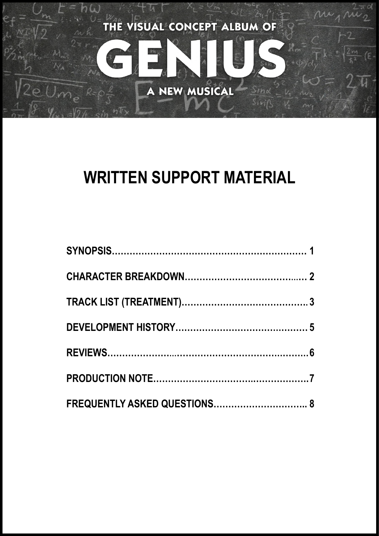

# **WRITTEN SUPPORT MATERIAL**

| <b>FREQUENTLY ASKED QUESTIONS 8</b> |  |
|-------------------------------------|--|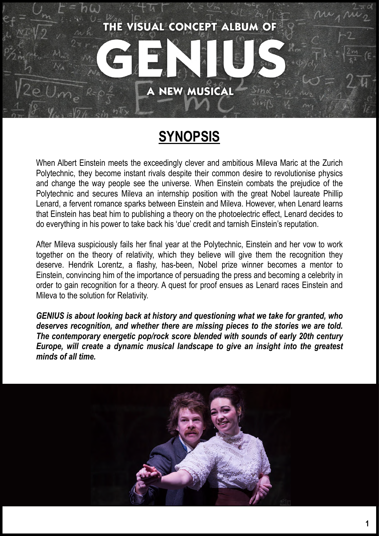

### **SYNOPSIS**

When Albert Einstein meets the exceedingly clever and ambitious Mileva Maric at the Zurich Polytechnic, they become instant rivals despite their common desire to revolutionise physics and change the way people see the universe. When Einstein combats the prejudice of the Polytechnic and secures Mileva an internship position with the great Nobel laureate Phillip Lenard, a fervent romance sparks between Einstein and Mileva. However, when Lenard learns that Einstein has beat him to publishing a theory on the photoelectric effect, Lenard decides to do everything in his power to take back his 'due' credit and tarnish Einstein's reputation.

After Mileva suspiciously fails her final year at the Polytechnic, Einstein and her vow to work together on the theory of relativity, which they believe will give them the recognition they deserve. Hendrik Lorentz, a flashy, has-been, Nobel prize winner becomes a mentor to Einstein, convincing him of the importance of persuading the press and becoming a celebrity in order to gain recognition for a theory. A quest for proof ensues as Lenard races Einstein and Mileva to the solution for Relativity.

*GENIUS is about looking back at history and questioning what we take for granted, who deserves recognition, and whether there are missing pieces to the stories we are told. The contemporary energetic pop/rock score blended with sounds of early 20th century Europe, will create a dynamic musical landscape to give an insight into the greatest minds of all time.*

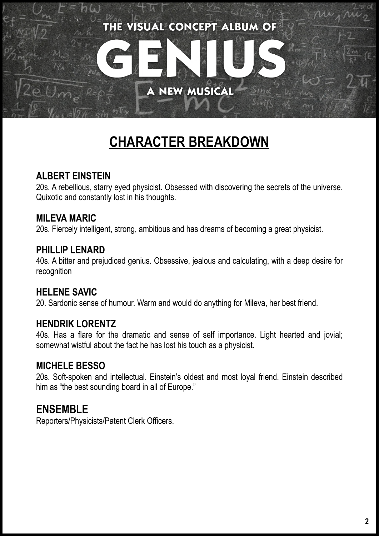

## **CHARACTER BREAKDOWN**

#### **ALBERT EINSTEIN**

20s. A rebellious, starry eyed physicist. Obsessed with discovering the secrets of the universe. Quixotic and constantly lost in his thoughts.

#### **MILEVA MARIC**

20s. Fiercely intelligent, strong, ambitious and has dreams of becoming a great physicist.

#### **PHILLIP LENARD**

40s. A bitter and prejudiced genius. Obsessive, jealous and calculating, with a deep desire for recognition

#### **HELENE SAVIC**

20. Sardonic sense of humour. Warm and would do anything for Mileva, her best friend.

#### **HENDRIK LORENTZ**

40s. Has a flare for the dramatic and sense of self importance. Light hearted and jovial; somewhat wistful about the fact he has lost his touch as a physicist.

#### **MICHELE BESSO**

20s. Soft-spoken and intellectual. Einstein's oldest and most loyal friend. Einstein described him as "the best sounding board in all of Europe."

#### **ENSEMBLE**

Reporters/Physicists/Patent Clerk Officers.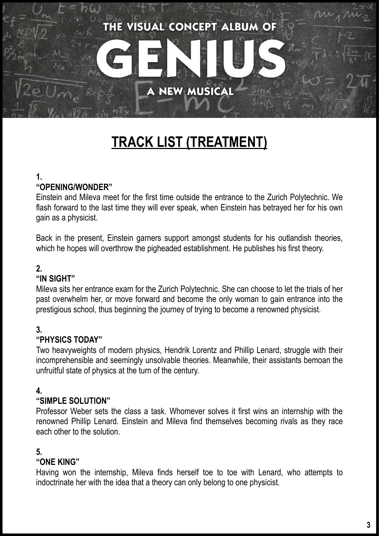

# **TRACK LIST (TREATMENT)**

#### **1.**

#### **"OPENING/WONDER"**

Einstein and Mileva meet for the first time outside the entrance to the Zurich Polytechnic. We flash forward to the last time they will ever speak, when Einstein has betrayed her for his own gain as a physicist.

Back in the present, Einstein garners support amongst students for his outlandish theories, which he hopes will overthrow the pigheaded establishment. He publishes his first theory.

#### **2.**

#### **"IN SIGHT"**

Mileva sits her entrance exam for the Zurich Polytechnic. She can choose to let the trials of her past overwhelm her, or move forward and become the only woman to gain entrance into the prestigious school, thus beginning the journey of trying to become a renowned physicist.

#### **3.**

#### **"PHYSICS TODAY"**

Two heavyweights of modern physics, Hendrik Lorentz and Phillip Lenard, struggle with their incomprehensible and seemingly unsolvable theories. Meanwhile, their assistants bemoan the unfruitful state of physics at the turn of the century.

#### **4.**

#### **"SIMPLE SOLUTION"**

Professor Weber sets the class a task. Whomever solves it first wins an internship with the renowned Phillip Lenard. Einstein and Mileva find themselves becoming rivals as they race each other to the solution.

#### **5.**

#### **"ONE KING"**

Having won the internship, Mileva finds herself toe to toe with Lenard, who attempts to indoctrinate her with the idea that a theory can only belong to one physicist.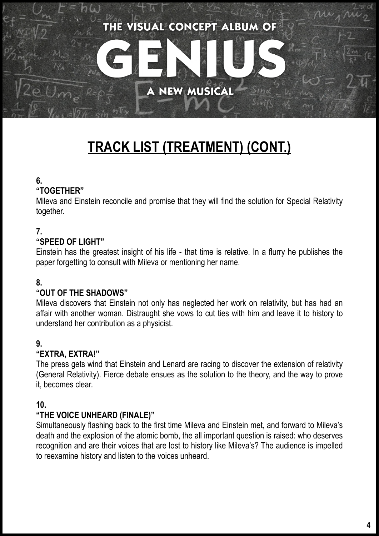

# **TRACK LIST (TREATMENT) (CONT.)**

#### **6.**

#### **"TOGETHER"**

Mileva and Einstein reconcile and promise that they will find the solution for Special Relativity together.

#### **7.**

#### **"SPEED OF LIGHT"**

Einstein has the greatest insight of his life - that time is relative. In a flurry he publishes the paper forgetting to consult with Mileva or mentioning her name.

#### **8.**

#### **"OUT OF THE SHADOWS"**

Mileva discovers that Einstein not only has neglected her work on relativity, but has had an affair with another woman. Distraught she vows to cut ties with him and leave it to history to understand her contribution as a physicist.

#### **9.**

#### **"EXTRA, EXTRA!"**

The press gets wind that Einstein and Lenard are racing to discover the extension of relativity (General Relativity). Fierce debate ensues as the solution to the theory, and the way to prove it, becomes clear.

#### **10.**

#### **"THE VOICE UNHEARD (FINALE)"**

Simultaneously flashing back to the first time Mileva and Einstein met, and forward to Mileva's death and the explosion of the atomic bomb, the all important question is raised: who deserves recognition and are their voices that are lost to history like Mileva's? The audience is impelled to reexamine history and listen to the voices unheard.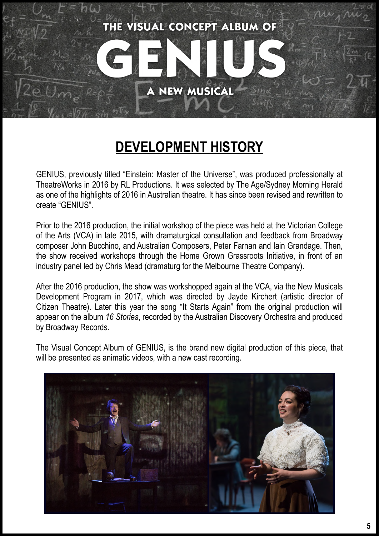

### **DEVELOPMENT HISTORY**

GENIUS, previously titled "Einstein: Master of the Universe", was produced professionally at TheatreWorks in 2016 by RL Productions. It was selected by The Age/Sydney Morning Herald as one of the highlights of 2016 in Australian theatre. It has since been revised and rewritten to create "GENIUS".

Prior to the 2016 production, the initial workshop of the piece was held at the Victorian College of the Arts (VCA) in late 2015, with dramaturgical consultation and feedback from Broadway composer John Bucchino, and Australian Composers, Peter Farnan and Iain Grandage. Then, the show received workshops through the Home Grown Grassroots Initiative, in front of an industry panel led by Chris Mead (dramaturg for the Melbourne Theatre Company).

After the 2016 production, the show was workshopped again at the VCA, via the New Musicals Development Program in 2017, which was directed by Jayde Kirchert (artistic director of Citizen Theatre). Later this year the song "It Starts Again" from the original production will appear on the album *16 Stories*, recorded by the Australian Discovery Orchestra and produced by Broadway Records.

The Visual Concept Album of GENIUS, is the brand new digital production of this piece, that will be presented as animatic videos, with a new cast recording.

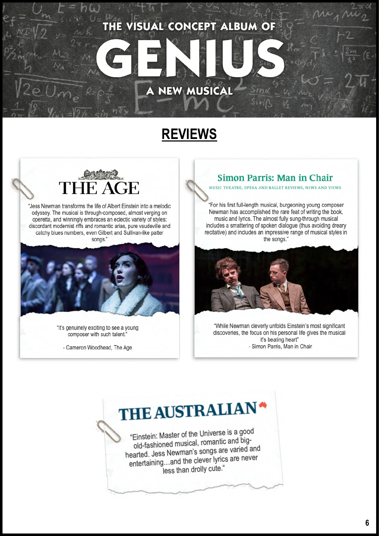### HE VISUAL CONCEPT ALBUM OF

### **REVIEWS**

A NEW MUSICAL



"Jess Newman transforms the life of Albert Einstein into a melodic odyssey. The musical is through-composed, almost verging on operetta, and winningly embraces an eclectic variety of styles: discordant modernist riffs and romantic arias, pure vaudeville and catchy blues numbers, even Gilbert and Sullivan-like patter songs.'



"It's genuinely exciting to see a young composer with such talent."

- Cameron Woodhead, The Age

#### **Simon Parris: Man in Chair**

MUSIC THEATRE, OPERA AND BALLET REVIEWS, NEWS AND VIEWS

"For his first full-length musical, burgeoning young composer Newman has accomplished the rare feat of writing the book, music and lyrics. The almost fully sung-through musical includes a smattering of spoken dialogue (thus avoiding dreary recitative) and includes an impressive range of musical styles in the songs."



"While Newman cleverly unfolds Einstein's most significant discoveries, the focus on his personal life gives the musical it's beating heart" - Simon Parris, Man in Chair

# THE AUSTRALIAN<sup>\*</sup>

"Einstein: Master of the Universe is a good Einstein: Master of the Universe to a spig-<br>old-fashioned musical, romantic and bigold-fashioned musical, formational and<br>hearted. Jess Newman's songs are varied and earted. Jess Newman's songs are various.<br>entertaining...and the clever lyrics are never less than drolly cute."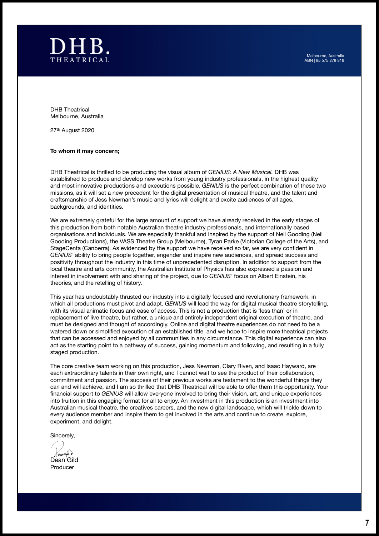



DHB Theatrical Melbourne, Australia

27th August 2020

#### **To whom it may concern;**

DHB Theatrical is thrilled to be producing the visual album of *GENIUS: A New Musical.* DHB was established to produce and develop new works from young industry professionals, in the highest quality and most innovative productions and executions possible. *GENIUS* is the perfect combination of these two missions, as it will set a new precedent for the digital presentation of musical theatre, and the talent and craftsmanship of Jess Newman's music and lyrics will delight and excite audiences of all ages, backgrounds, and identities.

We are extremely grateful for the large amount of support we have already received in the early stages of this production from both notable Australian theatre industry professionals, and internationally based organisations and individuals. We are especially thankful and inspired by the support of Neil Gooding (Neil Gooding Productions), the VASS Theatre Group (Melbourne), Tyran Parke (Victorian College of the Arts), and StageCenta (Canberra). As evidenced by the support we have received so far, we are very confident in *GENIUS'* ability to bring people together, engender and inspire new audiences, and spread success and positivity throughout the industry in this time of unprecedented disruption. In addition to support from the local theatre and arts community, the Australian Institute of Physics has also expressed a passion and interest in involvement with and sharing of the project, due to *GENIUS'* focus on Albert Einstein, his theories, and the retelling of history.

This year has undoubtably thrusted our industry into a digitally focused and revolutionary framework, in which all productions must pivot and adapt. *GENIUS* will lead the way for digital musical theatre storytelling, with its visual animatic focus and ease of access. This is not a production that is 'less than' or in replacement of live theatre, but rather, a unique and entirely independent original execution of theatre, and must be designed and thought of accordingly. Online and digital theatre experiences do not need to be a watered down or simplified execution of an established title, and we hope to inspire more theatrical projects that can be accessed and enjoyed by all communities in any circumstance. This digital experience can also act as the starting point to a pathway of success, gaining momentum and following, and resulting in a fully staged production.

The core creative team working on this production, Jess Newman, Clary Riven, and Isaac Hayward, are each extraordinary talents in their own right, and I cannot wait to see the product of their collaboration, commitment and passion. The success of their previous works are testament to the wonderful things they can and will achieve, and I am so thrilled that DHB Theatrical will be able to offer them this opportunity. Your financial support to *GENIUS* will allow everyone involved to bring their vision, art, and unique experiences into fruition in this engaging format for all to enjoy. An investment in this production is an investment into Australian musical theatre, the creatives careers, and the new digital landscape, which will trickle down to every audience member and inspire them to get involved in the arts and continue to create, explore, experiment, and delight.

Sincerely,

eargille

Dean Gild Producer